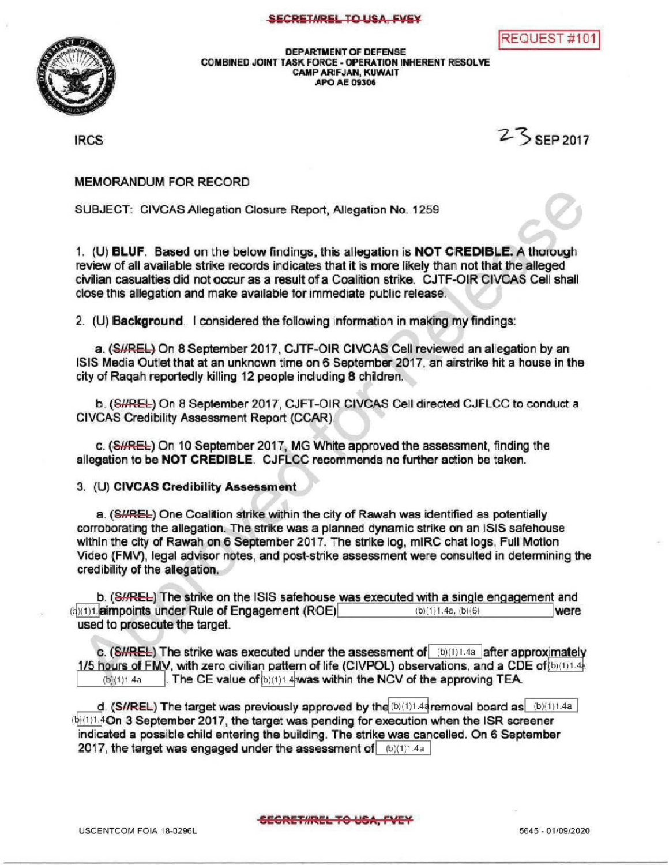## SECRETI/REL TO USA, FVEY





DEPARTMENT OF DEFENSE<br>COMBINED JOINT TASK FORCE - OPERATION INHERENT RESOLVE CAMPARIFJAN, KUWAIT APOAE 09306

IRCS  $25$  SEP 2017

MEMORANDUM FOR RECORD

SUBJECT: CIVCAS Allegation Closure Report, Allegation No. 1259

1. (U) BLUF. Based on the below findings, this allegation is NOT CREDIBLE. A thorough review of all available strike records indicates that it is more likely than not that the alleged civilian casualtiesdid notoccur as a resultofa Coalition strike. CJTF-OIR CIVCAS Cellshall close this allegation and make available for immediate public release.

2. (U) Background. I considered the following information in making my findings:

a. (SHREL) On 8 September 2017, CJTF-OIR CIVCAS Cell reviewed an allegation by an ISIS Media Outlet that at an unknown time on 6 September 2017, an airstrike hit a house in the city of Raqah reportedly killing 12 people including 8 children.

b. (SHREL) On 8 September 2017, CJFT-OIR CIVCAS Cell directed CJFLCC to conduct a CIVCAS Credibility Assessment Report (CCAR).

c. (SHREL) On 10 September 2017, MG White approved the assessment, finding the allegation to be NOT CREDIBLE. CJFLCC recommends no further action be taken.

3. (U) CIVCAS Credibility Assessment

a. (SHREL) One Coalition strike within the city of Rawah was identified as potentially corroborating the allegation. The strike was a planned dynamic strike on an ISIS safehouse within the city of Rawah on 6 September 2017. The strike log, mIRC chat logs, Full Motion Video (FMV), legal advisor notes, and post-strike assessment were consulted in determining the credibility of the allegation.

b.  $(SHREE)$  The strike on the ISIS safehouse was executed with a single engagement and<br>**aimooints under Rule of Engagement (ROE)** (d)(1)1.aimpoints under Rule of Engagement (ROE)  $(b)$ (1)1.4a, (b)(6) used to prosecute the target.

c.  $(SHREE)$  The strike was executed under the assessment of  $(6)(1)1.4a$  after approximately 1/5 hours of FMV, with zero civilian pattern of life (CIVPOL) observations, and a CDE of  $\frac{\ln(1)1.4h}{\ln(1)1.4a}$ <br>(b)(1)1.4a **The CE value of b**)(1)1.4**awas within the NCV of the approving TEA** The CE value of  $(b)(1)$ 1.4awas within the NCV of the approving TEA.

d. (S//REL) The target was previously approved by the  $(b)(1)1.44$  removal board as  $(b)(1)1.44$  $(b)(1)$   $\AA$ On 3 September 2017, the target was pending for execution when the ISR screener indicated <sup>a</sup> possible child entering the building. The strike was cancelled. On 6 September 2017, the target was engaged under the assessment of  $(b)(1)1.4a$ 

SECRET#REL TO USA, FVEY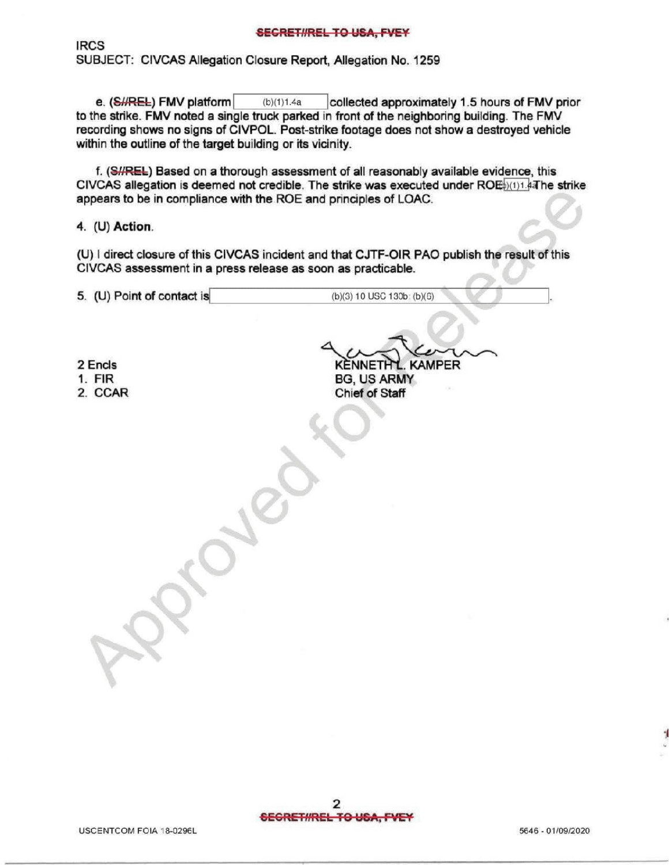IRCS SUBJECT: CIVCAS Allegation Closure Report, Allegation No. 1259

e. (SHREL) FMV platform (b)(1)1.4a collected approximately 1.5 hours of FMV prior to the strike. FMV noted a single truck parked in front of the neighboring building . The FMV recording shows no signs of CIVPOL. Post- strike footage does not show a destroyed vehicle within the outline of the target building or its vicinity.

f. (S//REL) Based on a thorough assessment of all reasonably available evidence, this CIVCAS allegation is deemed not credible. The strike was executed under  $ROE_{(1)(1)}$  at he strike appears to be in compliance with the ROE and principles of LOAC .

4.  $(U)$  Action.

(U) I direct closure of this CIVCAS incident and that CJTF-OIR PAO publish the result of this CIVCAS assessment in a press release as soon as practicable.

5. (U) Point of contact is  $(b)(3) 10$  USC  $130b$ :  $(b)(6)$ 

 $P_{\mathcal{C}}$ 

2 Encls

1. FIR

2. CCAR

KENNETH L. KAMPER BG, US ARMY Chief of Staff